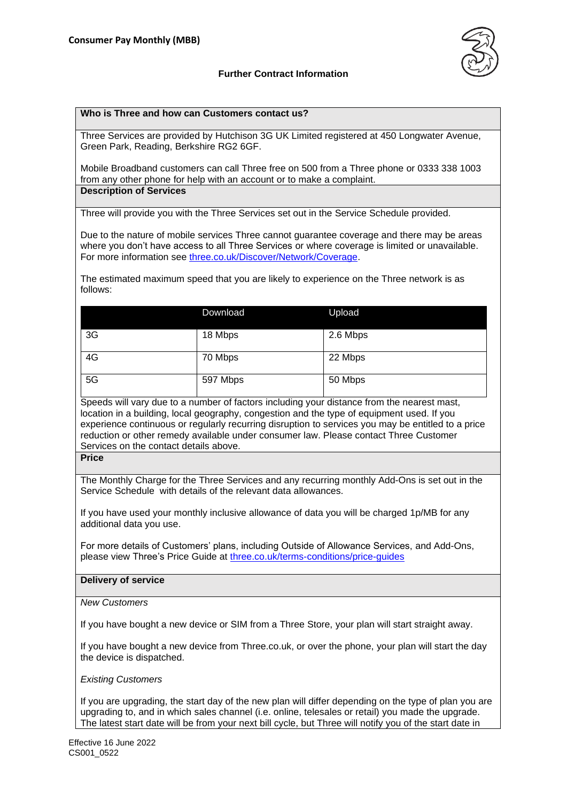

# **Further Contract Information**

### **Who is Three and how can Customers contact us?**

Three Services are provided by Hutchison 3G UK Limited registered at 450 Longwater Avenue, Green Park, Reading, Berkshire RG2 6GF.

Mobile Broadband customers can call Three free on 500 from a Three phone or 0333 338 1003 from any other phone for help with an account or to make a complaint. **Description of Services**

Three will provide you with the Three Services set out in the Service Schedule provided.

Due to the nature of mobile services Three cannot guarantee coverage and there may be areas where you don't have access to all Three Services or where coverage is limited or unavailable. For more information see [three.co.uk/Discover/Network/Coverage.](http://www.three.co.uk/Discover/Network/Coverage)

The estimated maximum speed that you are likely to experience on the Three network is as follows:

|    | Download | Upload   |  |
|----|----------|----------|--|
| 3G | 18 Mbps  | 2.6 Mbps |  |
| 4G | 70 Mbps  | 22 Mbps  |  |
| 5G | 597 Mbps | 50 Mbps  |  |

Speeds will vary due to a number of factors including your distance from the nearest mast, location in a building, local geography, congestion and the type of equipment used. If you experience continuous or regularly recurring disruption to services you may be entitled to a price reduction or other remedy available under consumer law. Please contact Three Customer Services on the contact details above.

**Price**

The Monthly Charge for the Three Services and any recurring monthly Add-Ons is set out in the Service Schedule with details of the relevant data allowances.

If you have used your monthly inclusive allowance of data you will be charged 1p/MB for any additional data you use.

For more details of Customers' plans, including Outside of Allowance Services, and Add-Ons, please view Three's Price Guide at [three.co.uk/terms-conditions/price-guides](http://www.three.co.uk/terms-conditions/price-guides)

#### **Delivery of service**

*New Customers*

If you have bought a new device or SIM from a Three Store, your plan will start straight away.

If you have bought a new device from Three.co.uk, or over the phone, your plan will start the day the device is dispatched.

*Existing Customers*

If you are upgrading, the start day of the new plan will differ depending on the type of plan you are upgrading to, and in which sales channel (i.e. online, telesales or retail) you made the upgrade. The latest start date will be from your next bill cycle, but Three will notify you of the start date in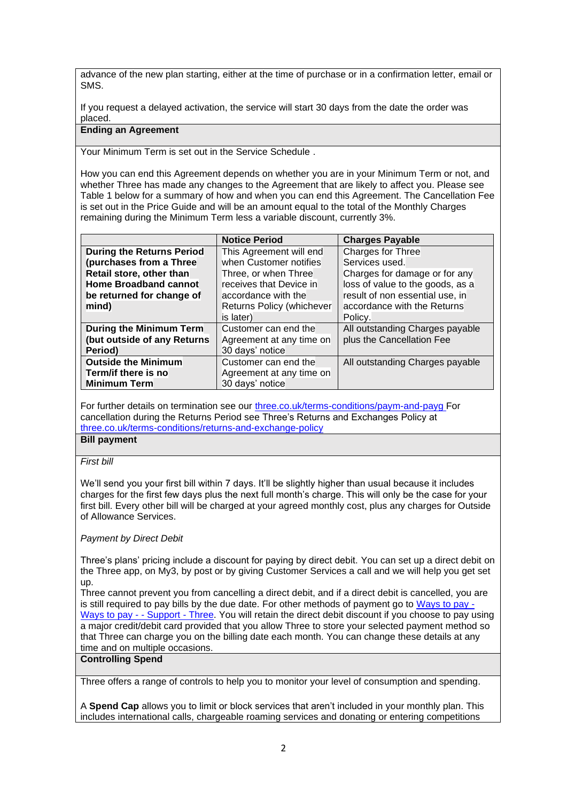advance of the new plan starting, either at the time of purchase or in a confirmation letter, email or SMS.

If you request a delayed activation, the service will start 30 days from the date the order was placed.

## **Ending an Agreement**

Your Minimum Term is set out in the Service Schedule .

How you can end this Agreement depends on whether you are in your Minimum Term or not, and whether Three has made any changes to the Agreement that are likely to affect you. Please see Table 1 below for a summary of how and when you can end this Agreement. The Cancellation Fee is set out in the Price Guide and will be an amount equal to the total of the Monthly Charges remaining during the Minimum Term less a variable discount, currently 3%.

|                                  | <b>Notice Period</b>      | <b>Charges Payable</b>           |
|----------------------------------|---------------------------|----------------------------------|
| <b>During the Returns Period</b> | This Agreement will end   | Charges for Three                |
| (purchases from a Three          | when Customer notifies    | Services used.                   |
| Retail store, other than         | Three, or when Three      | Charges for damage or for any    |
| <b>Home Broadband cannot</b>     | receives that Device in   | loss of value to the goods, as a |
| be returned for change of        | accordance with the       | result of non essential use, in  |
| mind)                            | Returns Policy (whichever | accordance with the Returns      |
|                                  | is later)                 | Policy.                          |
| During the Minimum Term          | Customer can end the      | All outstanding Charges payable  |
| (but outside of any Returns      | Agreement at any time on  | plus the Cancellation Fee        |
| Period)                          | 30 days' notice           |                                  |
| <b>Outside the Minimum</b>       | Customer can end the      | All outstanding Charges payable  |
| Term/if there is no              | Agreement at any time on  |                                  |
| <b>Minimum Term</b>              | 30 days' notice           |                                  |

For further details on termination see our [three.co.uk/terms-conditions/paym-and-payg](https://www.three.co.uk/terms-conditions/paym-and-payg) For cancellation during the Returns Period see Three's Returns and Exchanges Policy at [three.co.uk/terms-conditions/returns-and-exchange-policy](http://www.three.co.uk/terms-conditions/returns-and-exchange-policy)

**Bill payment**

#### *First bill*

We'll send you your first bill within 7 days. It'll be slightly higher than usual because it includes charges for the first few days plus the next full month's charge. This will only be the case for your first bill. Every other bill will be charged at your agreed monthly cost, plus any charges for Outside of Allowance Services.

# *Payment by Direct Debit*

Three's plans' pricing include a discount for paying by direct debit. You can set up a direct debit on the Three app, on My3, by post or by giving Customer Services a call and we will help you get set up.

Three cannot prevent you from cancelling a direct debit, and if a direct debit is cancelled, you are is still required to pay bills by the due date. For other methods of payment go to [Ways to](http://support.three.co.uk/SRVS/CGI-BIN/WEBISAPI.DLL?Command=New,Kb=Mobile,Ts=Mobile,T=Article,varset_cat=billing,varset_subcat=3768,Case=obj(42318)) pay -[Ways to pay -](http://support.three.co.uk/SRVS/CGI-BIN/WEBISAPI.DLL?Command=New,Kb=Mobile,Ts=Mobile,T=Article,varset_cat=billing,varset_subcat=3768,Case=obj(42318)) - Support - Three. You will retain the direct debit discount if you choose to pay using a major credit/debit card provided that you allow Three to store your selected payment method so that Three can charge you on the billing date each month. You can change these details at any time and on multiple occasions.

## **Controlling Spend**

Three offers a range of controls to help you to monitor your level of consumption and spending.

A **Spend Cap** allows you to limit or block services that aren't included in your monthly plan. This includes international calls, chargeable roaming services and donating or entering competitions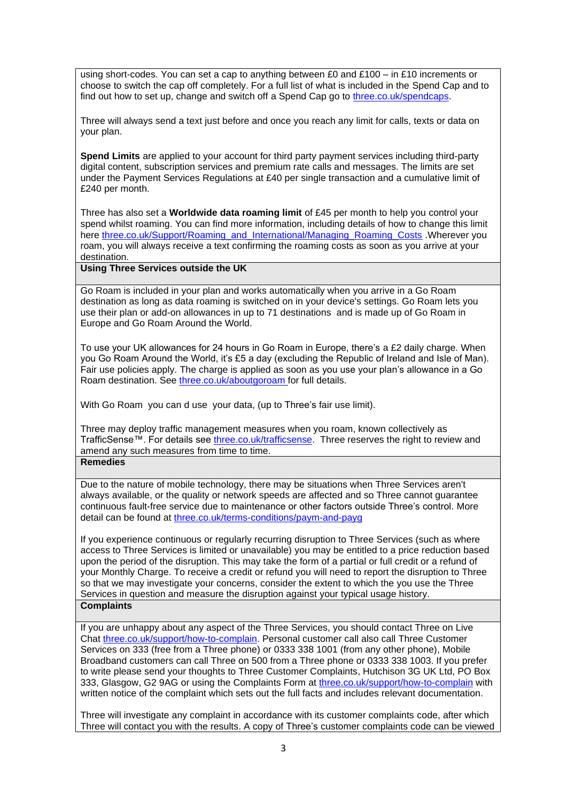using short-codes. You can set a cap to anything between £0 and £100 – in £10 increments or choose to switch the cap off completely. For a full list of what is included in the Spend Cap and to find out how to set up, change and switch off a Spend Cap go to [three.co.uk/spendcaps.](http://support.three.co.uk/SRVS/CGI-BIN/WEBISAPI.DLL?Command=New,Kb=Mobile,Ts=Mobile,T=Article,varset_cat=billing,varset_subcat=3770,Case=obj(31394))

Three will always send a text just before and once you reach any limit for calls, texts or data on your plan.

**Spend Limits** are applied to your account for third party payment services including third-party digital content, subscription services and premium rate calls and messages. The limits are set under the Payment Services Regulations at £40 per single transaction and a cumulative limit of £240 per month.

Three has also set a **Worldwide data roaming limit** of £45 per month to help you control your spend whilst roaming. You can find more information, including details of how to change this limit here [three.co.uk/Support/Roaming\\_and\\_International/Managing\\_Roaming\\_Costs](https://www.three.co.uk/Support/Roaming_and_International/Managing_Roaming_Costs) .Wherever you roam, you will always receive a text confirming the roaming costs as soon as you arrive at your destination.

**Using Three Services outside the UK** 

Go Roam is included in your plan and works automatically when you arrive in a Go Roam destination as long as data roaming is switched on in your device's settings. Go Roam lets you use their plan or add-on allowances in up to 71 destinations and is made up of Go Roam in Europe and Go Roam Around the World.

To use your UK allowances for 24 hours in Go Roam in Europe, there's a £2 daily charge. When you Go Roam Around the World, it's £5 a day (excluding the Republic of Ireland and Isle of Man). Fair use policies apply. The charge is applied as soon as you use your plan's allowance in a Go Roam destination. See [three.co.uk/aboutgoroam](https://three.co.uk/aboutgoroam) for full details.

With Go Roam you can d use your data, (up to Three's fair use limit).

Three may deploy traffic management measures when you roam, known collectively as TrafficSense™. For details see [three.co.uk/trafficsense.](Three.co.uk/trafficsense) Three reserves the right to review and amend any such measures from time to time.

**Remedies** 

Due to the nature of mobile technology, there may be situations when Three Services aren't always available, or the quality or network speeds are affected and so Three cannot guarantee continuous fault-free service due to maintenance or other factors outside Three's control. More detail can be found at [three.co.uk/terms-conditions/paym-and-payg](https://www.three.co.uk/terms-conditions/paym-and-payg)

If you experience continuous or regularly recurring disruption to Three Services (such as where access to Three Services is limited or unavailable) you may be entitled to a price reduction based upon the period of the disruption. This may take the form of a partial or full credit or a refund of your Monthly Charge. To receive a credit or refund you will need to report the disruption to Three so that we may investigate your concerns, consider the extent to which the you use the Three Services in question and measure the disruption against your typical usage history. **Complaints**

If you are unhappy about any aspect of the Three Services, you should contact Three on Live Chat [three.co.uk/support/how-to-complain.](http://www.three.co.uk/support/how-to-complain) Personal customer call also call Three Customer Services on 333 (free from a Three phone) or 0333 338 1001 (from any other phone), Mobile Broadband customers can call Three on 500 from a Three phone or 0333 338 1003. If you prefer to write please send your thoughts to Three Customer Complaints, Hutchison 3G UK Ltd, PO Box 333, Glasgow, G2 9AG or using the Complaints Form at [three.co.uk/support/how-to-complain](http://www.three.co.uk/support/how-to-complain) with written notice of the complaint which sets out the full facts and includes relevant documentation.

Three will investigate any complaint in accordance with its customer complaints code, after which Three will contact you with the results. A copy of Three's customer complaints code can be viewed